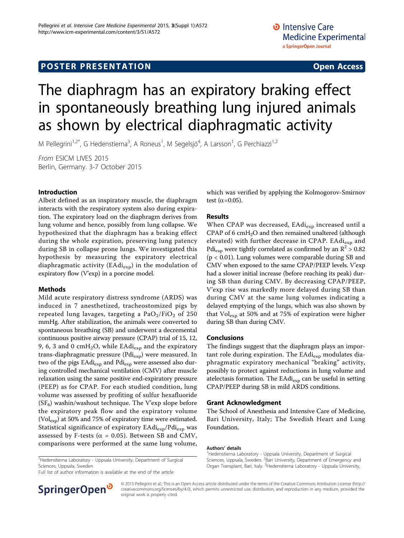# **POSTER PRESENTATION CONSUMING ACCESS**

# The diaphragm has an expiratory braking effect in spontaneously breathing lung injured animals as shown by electrical diaphragmatic activity

M Pellegrini<sup>1,2\*</sup>, G Hedenstierna<sup>3</sup>, A Roneus<sup>1</sup>, M Segelsjö<sup>4</sup>, A Larsson<sup>1</sup>, G Perchiazzi<sup>1,2</sup>

From ESICM LIVES 2015 Berlin, Germany. 3-7 October 2015

### Introduction

Albeit defined as an inspiratory muscle, the diaphragm interacts with the respiratory system also during expiration. The expiratory load on the diaphragm derives from lung volume and hence, possibly from lung collapse. We hypothesized that the diaphragm has a braking effect during the whole expiration, preserving lung patency during SB in collapse prone lungs. We investigated this hypothesis by measuring the expiratory electrical diaphragmatic activity (EAdi<sub>exp</sub>) in the modulation of expiratory flow (V'exp) in a porcine model.

#### Methods

Mild acute respiratory distress syndrome (ARDS) was induced in 7 anesthetized, tracheostomized pigs by repeated lung lavages, targeting a  $PaO<sub>2</sub>/FiO<sub>2</sub>$  of 250 mmHg. After stabilization, the animals were converted to spontaneous breathing (SB) and underwent a decremental continuous positive airway pressure (CPAP) trial of 15, 12, 9, 6, 3 and 0 cmH<sub>2</sub>O, while EAdi<sub>exp</sub> and the expiratory trans-diaphragmatic pressure (Pdi<sub>exp</sub>) were measured. In two of the pigs  $E\text{Adi}_{\text{exp}}$  and  $P\text{di}_{\text{exp}}$  were assessed also during controlled mechanical ventilation (CMV) after muscle relaxation using the same positive end-expiratory pressure (PEEP) as for CPAP. For each studied condition, lung volume was assessed by profiting of sulfur hexafluoride  $(SF_6)$  washin/washout technique. The V'exp slope before the expiratory peak flow and the expiratory volume ( $Vol_{exp}$ ) at 50% and 75% of expiratory time were estimated. Statistical significance of expiratory EAdi<sub>exp</sub>/Pdi<sub>exp</sub> was assessed by F-tests ( $\alpha$  = 0.05). Between SB and CMV, comparisons were performed at the same lung volume,

<sup>1</sup>Hedenstierna Laboratory - Uppsala University, Department of Surgical Sciences, Uppsala, Sweden

Full list of author information is available at the end of the article



which was verified by applying the Kolmogorov-Smirnov test ( $\alpha$ =0.05).

#### Results

When CPAP was decreased,  $E \cdot \text{Adi}_{\text{exp}}$  increased until a CPAP of 6  $cmH<sub>2</sub>O$  and then remained unaltered (although elevated) with further decrease in CPAP. EAdi<sub>exp</sub> and Pdi<sub>exp</sub> were tightly correlated as confirmed by an  $\mathbb{R}^2 > 0.82$ (p < 0.01). Lung volumes were comparable during SB and CMV when exposed to the same CPAP/PEEP levels. V'exp had a slower initial increase (before reaching its peak) during SB than during CMV. By decreasing CPAP/PEEP, V'exp rise was markedly more delayed during SB than during CMV at the same lung volumes indicating a delayed emptying of the lungs, which was also shown by that  $Vol_{exp}$  at 50% and at 75% of expiration were higher during SB than during CMV.

#### Conclusions

The findings suggest that the diaphragm plays an important role during expiration. The EAdi<sub>exp</sub> modulates diaphragmatic expiratory mechanical "braking" activity, possibly to protect against reductions in lung volume and atelectasis formation. The EAdi<sub>exp</sub> can be useful in setting CPAP/PEEP during SB in mild ARDS conditions.

#### Grant Acknowledgment

The School of Anesthesia and Intensive Care of Medicine, Bari University, Italy; The Swedish Heart and Lung Foundation.

#### Authors' details <sup>1</sup>

<sup>1</sup>Hedenstierna Laboratory - Uppsala University, Department of Surgical Sciences, Uppsala, Sweden. <sup>2</sup> Bari University, Department of Emergency and Organ Transplant, Bari, Italy. <sup>3</sup>Hedenstierna Laboratory - Uppsala University

© 2015 Pellegrini et al.; This is an Open Access article distributed under the terms of the Creative Commons Attribution License [\(http://](http://creativecommons.org/licenses/by/4.0) [creativecommons.org/licenses/by/4.0](http://creativecommons.org/licenses/by/4.0)), which permits unrestricted use, distribution, and reproduction in any medium, provided the original work is properly cited.